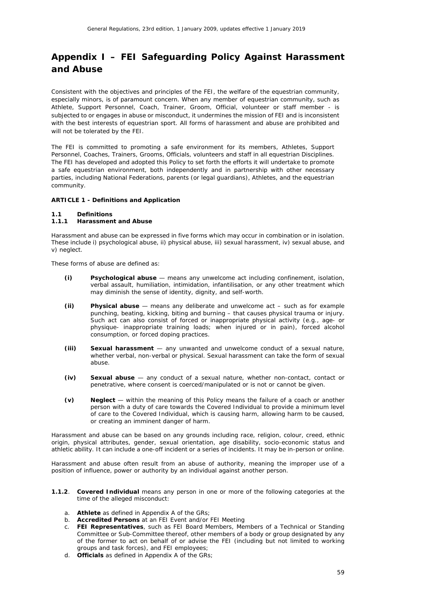# *Appendix I – FEI Safeguarding Policy Against Harassment and Abuse*

Consistent with the objectives and principles of the FEI, the welfare of the equestrian community, especially minors, is of paramount concern. When any member of equestrian community, such as Athlete, Support Personnel, Coach, Trainer, Groom, Official, volunteer or staff member - is subjected to or engages in abuse or misconduct, it undermines the mission of FEI and is inconsistent with the best interests of equestrian sport. All forms of harassment and abuse are prohibited and will not be tolerated by the FEI.

The FEI is committed to promoting a safe environment for its members, Athletes, Support Personnel, Coaches, Trainers, Grooms, Officials, volunteers and staff in all equestrian Disciplines. The FEI has developed and adopted this Policy to set forth the efforts it will undertake to promote a safe equestrian environment, both independently and in partnership with other necessary parties, including National Federations, parents (or legal guardians), Athletes, and the equestrian community.

# **ARTICLE 1 - Definitions and Application**

#### **1.1 Definitions**

# **1.1.1 Harassment and Abuse**

Harassment and abuse can be expressed in five forms which may occur in combination or in isolation. These include i) psychological abuse, ii) physical abuse, iii) sexual harassment, iv) sexual abuse, and v) neglect.

These forms of abuse are defined as:

- **(i) Psychological abuse** means any unwelcome act including confinement, isolation, verbal assault, humiliation, intimidation, infantilisation, or any other treatment which may diminish the sense of identity, dignity, and self-worth.
- **(ii) Physical abuse** means any deliberate and unwelcome act such as for example punching, beating, kicking, biting and burning – that causes physical trauma or injury. Such act can also consist of forced or inappropriate physical activity (e.g., age- or physique- inappropriate training loads; when injured or in pain), forced alcohol consumption, or forced doping practices.
- **(iii) Sexual harassment** any unwanted and unwelcome conduct of a sexual nature, whether verbal, non-verbal or physical. Sexual harassment can take the form of sexual abuse.
- **(iv) Sexual abuse** any conduct of a sexual nature, whether non-contact, contact or penetrative, where consent is coerced/manipulated or is not or cannot be given.
- **(v) Neglect** within the meaning of this Policy means the failure of a coach or another person with a duty of care towards the Covered Individual to provide a minimum level of care to the Covered Individual, which is causing harm, allowing harm to be caused, or creating an imminent danger of harm.

Harassment and abuse can be based on any grounds including race, religion, colour, creed, ethnic origin, physical attributes, gender, sexual orientation, age disability, socio-economic status and athletic ability. It can include a one-off incident or a series of incidents. It may be in-person or online.

Harassment and abuse often result from an abuse of authority, meaning the improper use of a position of influence, power or authority by an individual against another person.

- **1.1.2**. **Covered Individual** means any person in one or more of the following categories at the time of the alleged misconduct:
	- a. **Athlete** as defined in Appendix A of the GRs;
	- b. **Accredited Persons** at an FEI Event and/or FEI Meeting
	- c. **FEI Representatives**, such as FEI Board Members, Members of a Technical or Standing Committee or Sub-Committee thereof, other members of a body or group designated by any of the former to act on behalf of or advise the FEI (including but not limited to working groups and task forces), and FEI employees;
	- d. **Officials** as defined in Appendix A of the GRs;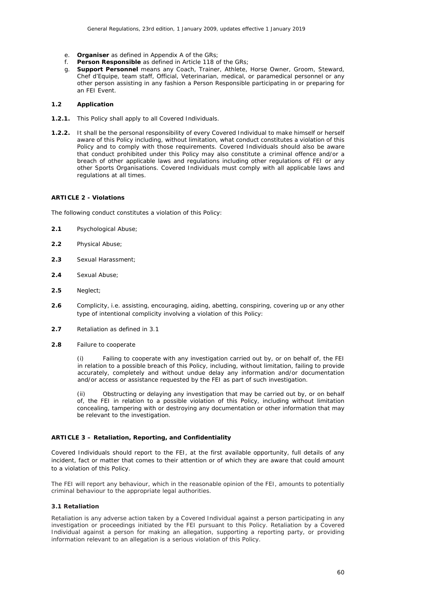- e. **Organiser** as defined in Appendix A of the GRs;
- f. **Person Responsible** as defined in Article 118 of the GRs;
- g. **Support Personnel** means any Coach, Trainer, Athlete, Horse Owner, Groom, Steward, Chef d'Equipe, team staff, Official, Veterinarian, medical, or paramedical personnel or any other person assisting in any fashion a Person Responsible participating in or preparing for an FEI Event*.*

#### **1.2 Application**

- **1.2.1.** This Policy shall apply to all Covered Individuals.
- **1.2.2.** It shall be the personal responsibility of every Covered Individual to make himself or herself aware of this Policy including, without limitation, what conduct constitutes a violation of this Policy and to comply with those requirements. Covered Individuals should also be aware that conduct prohibited under this Policy may also constitute a criminal offence and/or a breach of other applicable laws and regulations including other regulations of FEI or any other Sports Organisations. Covered Individuals must comply with all applicable laws and regulations at all times.

## **ARTICLE 2 - Violations**

The following conduct constitutes a violation of this Policy:

- **2.1** Psychological Abuse;
- **2.2** Physical Abuse;
- **2.3** Sexual Harassment;
- **2.4** Sexual Abuse;
- **2.5** Neglect;
- **2.6** Complicity, i.e. assisting, encouraging, aiding, abetting, conspiring, covering up or any other type of intentional complicity involving a violation of this Policy:
- **2.7** Retaliation as defined in 3.1
- **2.8** Failure to cooperate

(i) Failing to cooperate with any investigation carried out by, or on behalf of, the FEI in relation to a possible breach of this Policy, including, without limitation, failing to provide accurately, completely and without undue delay any information and/or documentation and/or access or assistance requested by the FEI as part of such investigation.

(ii) Obstructing or delaying any investigation that may be carried out by, or on behalf of, the FEI in relation to a possible violation of this Policy, including without limitation concealing, tampering with or destroying any documentation or other information that may be relevant to the investigation.

#### **ARTICLE 3 – Retaliation, Reporting, and Confidentiality**

Covered Individuals should report to the FEI, at the first available opportunity, full details of any incident, fact or matter that comes to their attention or of which they are aware that could amount to a violation of this Policy.

The FEI will report any behaviour, which in the reasonable opinion of the FEI, amounts to potentially criminal behaviour to the appropriate legal authorities.

#### **3.1 Retaliation**

Retaliation is any adverse action taken by a Covered Individual against a person participating in any investigation or proceedings initiated by the FEI pursuant to this Policy. Retaliation by a Covered Individual against a person for making an allegation, supporting a reporting party, or providing information relevant to an allegation is a serious violation of this Policy.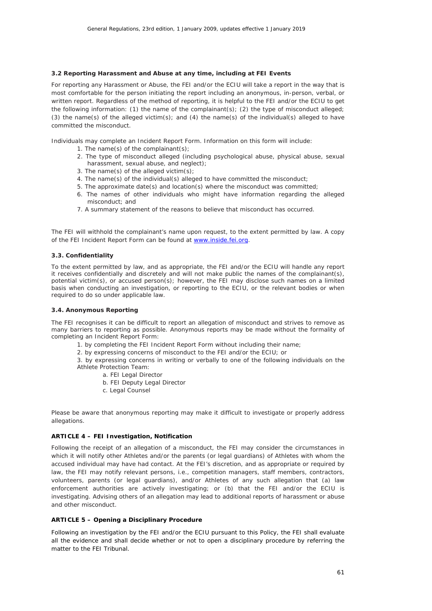## **3.2 Reporting Harassment and Abuse at any time, including at FEI Events**

For reporting any Harassment or Abuse, the FEI and/or the ECIU will take a report in the way that is most comfortable for the person initiating the report including an anonymous, in-person, verbal, or written report. Regardless of the method of reporting, it is helpful to the FEI and/or the ECIU to get the following information: (1) the name of the complainant(s); (2) the type of misconduct alleged; (3) the name(s) of the alleged victim(s); and (4) the name(s) of the individual(s) alleged to have committed the misconduct.

Individuals may complete an Incident Report Form. Information on this form will include:

- 1. The name(s) of the complainant(s);
- 2. The type of misconduct alleged (including psychological abuse, physical abuse, sexual harassment, sexual abuse, and neglect);
- 3. The name(s) of the alleged victim(s);
- 4. The name(s) of the individual(s) alleged to have committed the misconduct;
- 5. The approximate date(s) and location(s) where the misconduct was committed;
- 6. The names of other individuals who might have information regarding the alleged misconduct; and
- 7. A summary statement of the reasons to believe that misconduct has occurred.

The FEI will withhold the complainant's name upon request, to the extent permitted by law. A copy of the FEI Incident Report Form can be found at [www.inside.fei.org.](http://www.inside.fei.org/)

## **3.3. Confidentiality**

To the extent permitted by law, and as appropriate, the FEI and/or the ECIU will handle any report it receives confidentially and discretely and will not make public the names of the complainant(s), potential victim(s), or accused person(s); however, the FEI may disclose such names on a limited basis when conducting an investigation, or reporting to the ECIU, or the relevant bodies or when required to do so under applicable law.

#### **3.4. Anonymous Reporting**

The FEI recognises it can be difficult to report an allegation of misconduct and strives to remove as many barriers to reporting as possible. Anonymous reports may be made without the formality of completing an Incident Report Form:

1. by completing the FEI Incident Report Form without including their name;

2. by expressing concerns of misconduct to the FEI and/or the ECIU; or

3. by expressing concerns in writing or verbally to one of the following individuals on the Athlete Protection Team:

- a. FEI Legal Director
- b. FEI Deputy Legal Director
- c. Legal Counsel

Please be aware that anonymous reporting may make it difficult to investigate or properly address allegations.

## **ARTICLE 4 – FEI Investigation, Notification**

Following the receipt of an allegation of a misconduct, the FEI may consider the circumstances in which it will notify other Athletes and/or the parents (or legal guardians) of Athletes with whom the accused individual may have had contact. At the FEI's discretion, and as appropriate or required by law, the FEI may notify relevant persons, i.e., competition managers, staff members, contractors, volunteers, parents (or legal guardians), and/or Athletes of any such allegation that (a) law enforcement authorities are actively investigating; or (b) that the FEI and/or the ECIU is investigating. Advising others of an allegation may lead to additional reports of harassment or abuse and other misconduct.

# **ARTICLE 5 – Opening a Disciplinary Procedure**

Following an investigation by the FEI and/or the ECIU pursuant to this Policy, the FEI shall evaluate all the evidence and shall decide whether or not to open a disciplinary procedure by referring the matter to the FEI Tribunal.